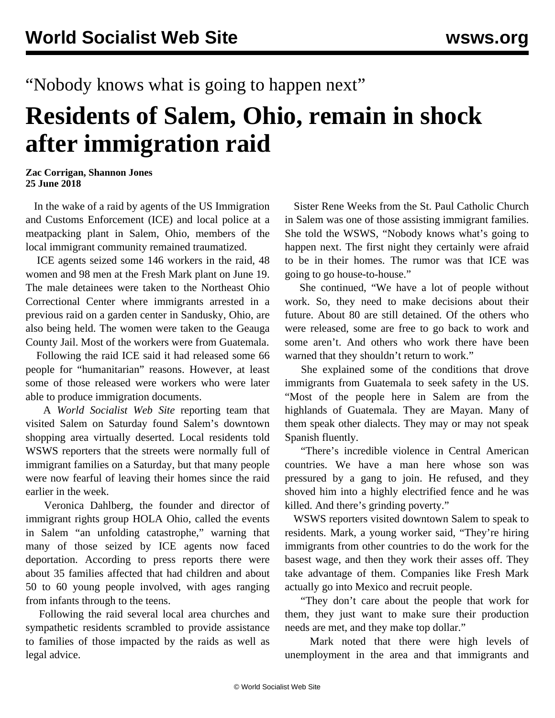## "Nobody knows what is going to happen next"

## **Residents of Salem, Ohio, remain in shock after immigration raid**

**Zac Corrigan, Shannon Jones 25 June 2018**

 In the wake of a raid by agents of the US Immigration and Customs Enforcement (ICE) and local police at a meatpacking plant in Salem, Ohio, members of the local immigrant community remained traumatized.

 ICE agents seized some 146 workers in the raid, 48 women and 98 men at the Fresh Mark plant on June 19. The male detainees were taken to the Northeast Ohio Correctional Center where immigrants arrested in a previous raid on a garden center in Sandusky, Ohio, are also being held. The women were taken to the Geauga County Jail. Most of the workers were from Guatemala.

 Following the raid ICE said it had released some 66 people for "humanitarian" reasons. However, at least some of those released were workers who were later able to produce immigration documents.

 A *World Socialist Web Site* reporting team that visited Salem on Saturday found Salem's downtown shopping area virtually deserted. Local residents told WSWS reporters that the streets were normally full of immigrant families on a Saturday, but that many people were now fearful of leaving their homes since the raid earlier in the week.

 Veronica Dahlberg, the founder and director of immigrant rights group HOLA Ohio, called the events in Salem "an unfolding catastrophe," warning that many of those seized by ICE agents now faced deportation. According to press reports there were about 35 families affected that had children and about 50 to 60 young people involved, with ages ranging from infants through to the teens.

 Following the raid several local area churches and sympathetic residents scrambled to provide assistance to families of those impacted by the raids as well as legal advice.

 Sister Rene Weeks from the St. Paul Catholic Church in Salem was one of those assisting immigrant families. She told the WSWS, "Nobody knows what's going to happen next. The first night they certainly were afraid to be in their homes. The rumor was that ICE was going to go house-to-house."

 She continued, "We have a lot of people without work. So, they need to make decisions about their future. About 80 are still detained. Of the others who were released, some are free to go back to work and some aren't. And others who work there have been warned that they shouldn't return to work."

 She explained some of the conditions that drove immigrants from Guatemala to seek safety in the US. "Most of the people here in Salem are from the highlands of Guatemala. They are Mayan. Many of them speak other dialects. They may or may not speak Spanish fluently.

 "There's incredible violence in Central American countries. We have a man here whose son was pressured by a gang to join. He refused, and they shoved him into a highly electrified fence and he was killed. And there's grinding poverty."

 WSWS reporters visited downtown Salem to speak to residents. Mark, a young worker said, "They're hiring immigrants from other countries to do the work for the basest wage, and then they work their asses off. They take advantage of them. Companies like Fresh Mark actually go into Mexico and recruit people.

 "They don't care about the people that work for them, they just want to make sure their production needs are met, and they make top dollar."

 Mark noted that there were high levels of unemployment in the area and that immigrants and